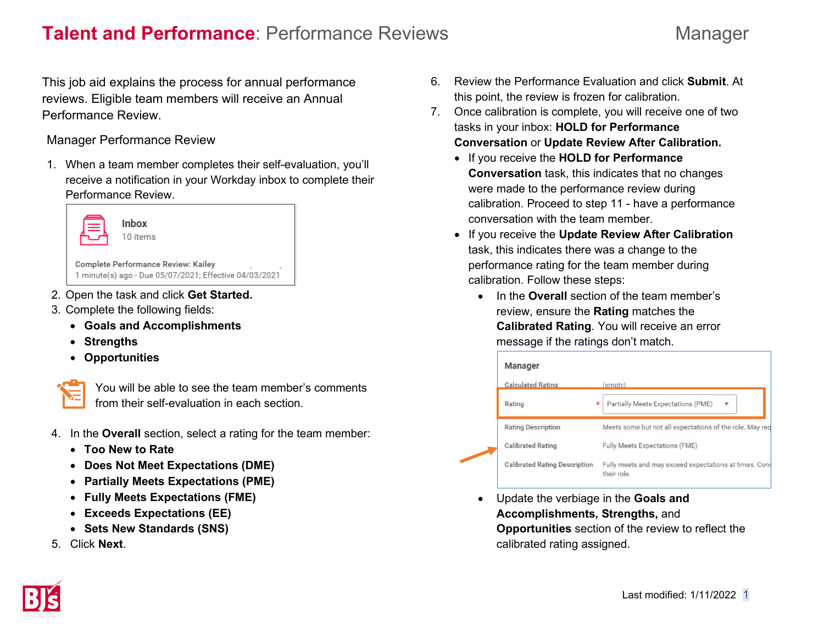## **Talent and Performance**: Performance Reviews **Manager** Manager

This job aid explains the process for annual performance reviews. Eligible team members will receive an Annual Performance Review.

Manager Performance Review

1. When a team member completes their self-evaluation, you'll receive a notification in your Workday inbox to complete their Performance Review.



- 2. Open the task and click **Get Started.**
- 3. Complete the following fields:
	- **Goals and Accomplishments**
	- **Strengths**
	- **Opportunities**



You will be able to see the team member's comments from their self-evaluation in each section.

- 4. In the **Overall** section, select a rating for the team member:
	- **Too New to Rate**
	- **Does Not Meet Expectations (DME)**
	- **Partially Meets Expectations (PME)**
	- **Fully Meets Expectations (FME)**
	- **Exceeds Expectations (EE)**
	- **Sets New Standards (SNS)**
- 5. Click **Next**.
- 6. Review the Performance Evaluation and click **Submit**. At this point, the review is frozen for calibration.
- 7. Once calibration is complete, you will receive one of two tasks in your inbox: **HOLD for Performance Conversation** or **Update Review After Calibration.**
	- If you receive the **HOLD for Performance Conversation** task, this indicates that no changes were made to the performance review during calibration. Proceed to step 11 - have a performance conversation with the team member.
	- If you receive the **Update Review After Calibration** task, this indicates there was a change to the performance rating for the team member during calibration. Follow these steps:
		- In the **Overall** section of the team member's review, ensure the **Rating** matches the **Calibrated Rating**. You will receive an error message if the ratings don't match.

|  | Manager                              |                                                                       |
|--|--------------------------------------|-----------------------------------------------------------------------|
|  | <b>Calculated Rating</b>             | (empty)                                                               |
|  | Rating                               | Partially Meets Expectations (PME)                                    |
|  | <b>Rating Description</b>            | Meets some but not all expectations of the role. May req              |
|  | <b>Calibrated Rating</b>             | <b>Fully Meets Expectations (FME)</b>                                 |
|  | <b>Calibrated Rating Description</b> | Fully meets and may exceed expectations at times. Cons<br>their role. |

• Update the verbiage in the **Goals and Accomplishments, Strengths,** and **Opportunities** section of the review to reflect the calibrated rating assigned.

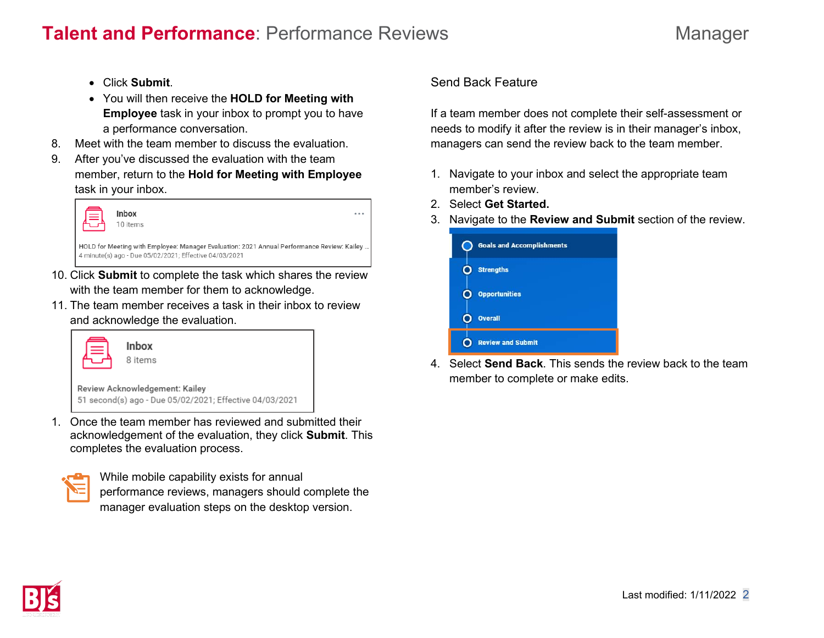# **Talent and Performance**: Performance Reviews **Manager** Manager

- Click **Submit**.
- You will then receive the **HOLD for Meeting with Employee** task in your inbox to prompt you to have a performance conversation.
- 8. Meet with the team member to discuss the evaluation.
- 9. After you've discussed the evaluation with the team member, return to the **Hold for Meeting with Employee** task in your inbox.



- 10. Click **Submit** to complete the task which shares the review with the team member for them to acknowledge.
- 11. The team member receives a task in their inbox to review and acknowledge the evaluation.

|                                                                                           | Inbox<br>8 items |  |
|-------------------------------------------------------------------------------------------|------------------|--|
| Review Acknowledgement: Kailey<br>51 second(s) ago - Due 05/02/2021; Effective 04/03/2021 |                  |  |

1. Once the team member has reviewed and submitted their acknowledgement of the evaluation, they click **Submit**. This completes the evaluation process.

| ٣<br><b>Service Service</b><br><b>Service Service</b><br>M.                                                                     |
|---------------------------------------------------------------------------------------------------------------------------------|
| $\mathcal{L}^{\text{max}}_{\text{max}}$ and $\mathcal{L}^{\text{max}}_{\text{max}}$ and $\mathcal{L}^{\text{max}}_{\text{max}}$ |

While mobile capability exists for annual performance reviews, managers should complete the manager evaluation steps on the desktop version.

## Send Back Feature

If a team member does not complete their self-assessment or needs to modify it after the review is in their manager's inbox, managers can send the review back to the team member.

- 1. Navigate to your inbox and select the appropriate team member's review.
- 2. Select **Get Started.**
- 3. Navigate to the **Review and Submit** section of the review.



4. Select **Send Back**. This sends the review back to the team member to complete or make edits.